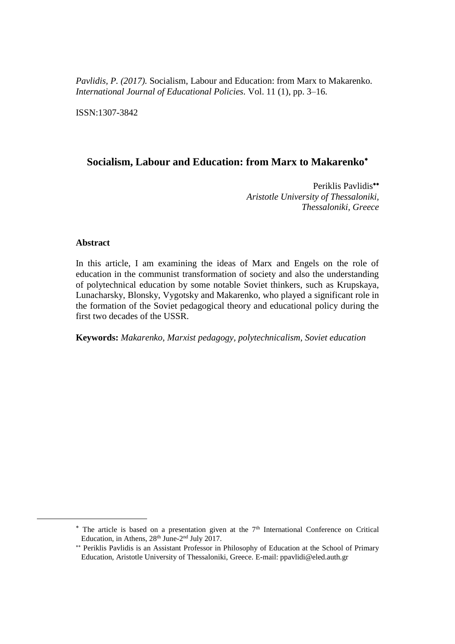*Pavlidis, P. (2017).* Socialism, Labour and Education: from Marx to Makarenko*. International Journal of Educational Policies.* Vol. 11 (1), pp. 3–16.

ISSN:1307-3842

# **Socialism, Labour and Education: from Marx to Makarenko**

Periklis Pavlidis\*\* *Aristotle University of Thessaloniki, Thessaloniki, Greece*

## **Abstract**

 $\overline{a}$ 

In this article, I am examining the ideas of Marx and Engels on the role of education in the communist transformation of society and also the understanding of polytechnical education by some notable Soviet thinkers, such as Krupskaya, Lunacharsky, Blonsky, Vygotsky and Makarenko, who played a significant role in the formation of the Soviet pedagogical theory and educational policy during the first two decades of the USSR.

**Keywords:** *Makarenko, Marxist pedagogy, polytechnicalism, Soviet education*

 $*$  The article is based on a presentation given at the  $7<sup>th</sup>$  International Conference on Critical Education, in Athens, 28<sup>th</sup> June-2<sup>nd</sup> July 2017.

Periklis Pavlidis is an Assistant Professor in Philosophy of Education at the School of Primary Education, Aristotle University of Thessaloniki, Greece. E-mail: ppavlidi@eled.auth.gr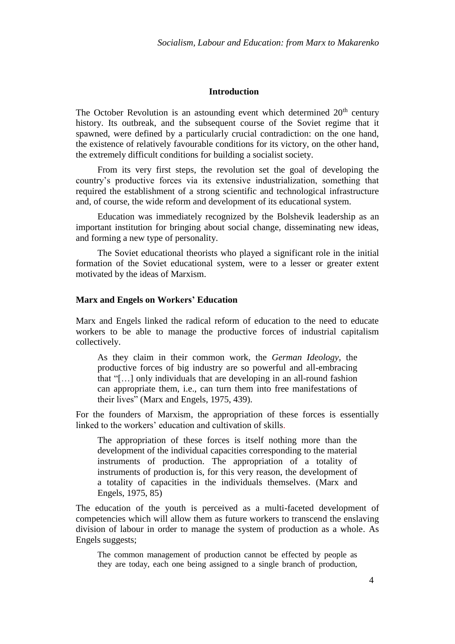# **Introduction**

The October Revolution is an astounding event which determined  $20<sup>th</sup>$  century history. Its outbreak, and the subsequent course of the Soviet regime that it spawned, were defined by a particularly crucial contradiction: on the one hand, the existence of relatively favourable conditions for its victory, on the other hand, the extremely difficult conditions for building a socialist society.

From its very first steps, the revolution set the goal of developing the country's productive forces via its extensive industrialization, something that required the establishment of a strong scientific and technological infrastructure and, of course, the wide reform and development of its educational system.

Education was immediately recognized by the Bolshevik leadership as an important institution for bringing about social change, disseminating new ideas, and forming a new type of personality.

The Soviet educational theorists who played a significant role in the initial formation of the Soviet educational system, were to a lesser or greater extent motivated by the ideas of Marxism.

#### **Marx and Engels on Workers' Education**

Marx and Engels linked the radical reform of education to the need to educate workers to be able to manage the productive forces of industrial capitalism collectively.

As they claim in their common work, the *German Ideology*, the productive forces of big industry are so powerful and all-embracing that "[…] only individuals that are developing in an all-round fashion can appropriate them, i.e., can turn them into free manifestations of their lives" (Marx and Engels, 1975, 439).

For the founders of Marxism, the appropriation of these forces is essentially linked to the workers' education and cultivation of skills.

The appropriation of these forces is itself nothing more than the development of the individual capacities corresponding to the material instruments of production. The appropriation of a totality of instruments of production is, for this very reason, the development of a totality of capacities in the individuals themselves. (Marx and Engels, 1975, 85)

The education of the youth is perceived as a multi-faceted development of competencies which will allow them as future workers to transcend the enslaving division of labour in order to manage the system of production as a whole. As Engels suggests;

The common management of production cannot be effected by people as they are today, each one being assigned to a single branch of production,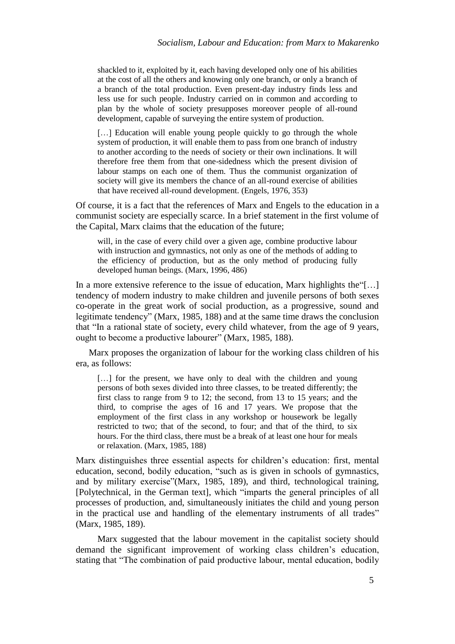shackled to it, exploited by it, each having developed only one of his abilities at the cost of all the others and knowing only one branch, or only a branch of a branch of the total production. Even present-day industry finds less and less use for such people. Industry carried on in common and according to plan by the whole of society presupposes moreover people of all-round development, capable of surveying the entire system of production.

[...] Education will enable young people quickly to go through the whole system of production, it will enable them to pass from one branch of industry to another according to the needs of society or their own inclinations. It will therefore free them from that one-sidedness which the present division of labour stamps on each one of them. Thus the communist organization of society will give its members the chance of an all-round exercise of abilities that have received all-round development. (Engels, 1976, 353)

Of course, it is a fact that the references of Marx and Engels to the education in a communist society are especially scarce. In a brief statement in the first volume of the Capital, Marx claims that the education of the future;

will, in the case of every child over a given age, combine productive labour with instruction and gymnastics, not only as one of the methods of adding to the efficiency of production, but as the only method of producing fully developed human beings. (Marx, 1996, 486)

In a more extensive reference to the issue of education, Marx highlights the"[…] tendency of modern industry to make children and juvenile persons of both sexes co-operate in the great work of social production, as a progressive, sound and legitimate tendency" (Marx, 1985, 188) and at the same time draws the conclusion that "In a rational state of society, every child whatever, from the age of 9 years, ought to become a productive labourer" (Marx, 1985, 188).

Marx proposes the organization of labour for the working class children of his era, as follows:

[...] for the present, we have only to deal with the children and young persons of both sexes divided into three classes, to be treated differently; the first class to range from 9 to 12; the second, from 13 to 15 years; and the third, to comprise the ages of 16 and 17 years. We propose that the employment of the first class in any workshop or housework be legally restricted to two; that of the second, to four; and that of the third, to six hours. For the third class, there must be a break of at least one hour for meals or relaxation. (Marx, 1985, 188)

Marx distinguishes three essential aspects for children's education: first, mental education, second, bodily education, "such as is given in schools of gymnastics, and by military exercise"(Marx, 1985, 189), and third, technological training, [Polytechnical, in the German text], which "imparts the general principles of all processes of production, and, simultaneously initiates the child and young person in the practical use and handling of the elementary instruments of all trades" (Marx, 1985, 189).

Marx suggested that the labour movement in the capitalist society should demand the significant improvement of working class children's education, stating that "The combination of paid productive labour, mental education, bodily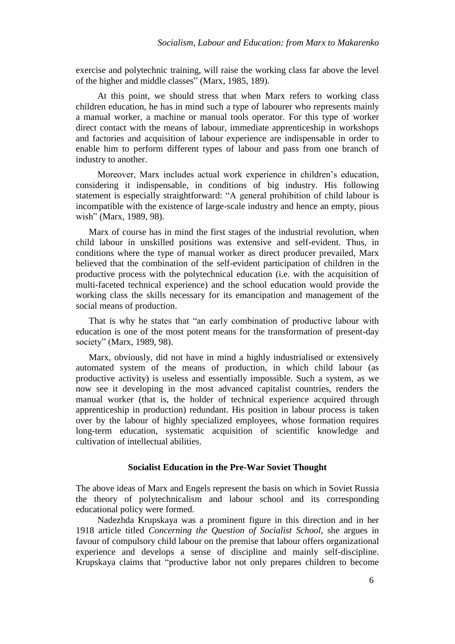exercise and polytechnic training, will raise the working class far above the level of the higher and middle classes" (Marx, 1985, 189).

At this point, we should stress that when Marx refers to working class children education, he has in mind such a type of labourer who represents mainly a manual worker, a machine or manual tools operator. For this type of worker direct contact with the means of labour, immediate apprenticeship in workshops and factories and acquisition of labour experience are indispensable in order to enable him to perform different types of labour and pass from one branch of industry to another.

Moreover, Marx includes actual work experience in children's education, considering it indispensable, in conditions of big industry. His following statement is especially straightforward: "A general prohibition of child labour is incompatible with the existence of large-scale industry and hence an empty, pious wish" (Marx, 1989, 98).

Marx of course has in mind the first stages of the industrial revolution, when child labour in unskilled positions was extensive and self-evident. Thus, in conditions where the type of manual worker as direct producer prevailed, Marx believed that the combination of the self-evident participation of children in the productive process with the polytechnical education (i.e. with the acquisition of multi-faceted technical experience) and the school education would provide the working class the skills necessary for its emancipation and management of the social means of production.

That is why he states that "an early combination of productive labour with education is one of the most potent means for the transformation of present-day society" (Marx, 1989, 98).

Marx, obviously, did not have in mind a highly industrialised or extensively automated system of the means of production, in which child labour (as productive activity) is useless and essentially impossible. Such a system, as we now see it developing in the most advanced capitalist countries, renders the manual worker (that is, the holder of technical experience acquired through apprenticeship in production) redundant. His position in labour process is taken over by the labour of highly specialized employees, whose formation requires long-term education, systematic acquisition of scientific knowledge and cultivation of intellectual abilities.

### **Socialist Education in the Pre-War Soviet Thought**

The above ideas of Marx and Engels represent the basis on which in Soviet Russia the theory of polytechnicalism and labour school and its corresponding educational policy were formed.

Nadezhda Krupskaya was a prominent figure in this direction and in her 1918 article titled *Concerning the Question of Socialist School*, she argues in favour of compulsory child labour on the premise that labour offers organizational experience and develops a sense of discipline and mainly self-discipline. Krupskaya claims that "productive labor not only prepares children to become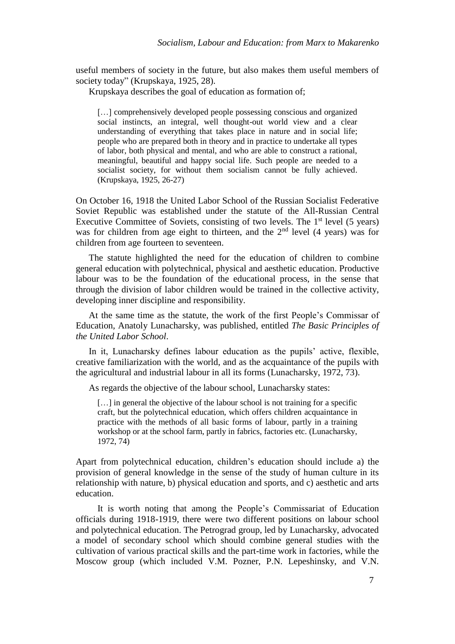useful members of society in the future, but also makes them useful members of society today" (Krupskaya, 1925, 28).

Krupskaya describes the goal of education as formation of;

[...] comprehensively developed people possessing conscious and organized social instincts, an integral, well thought-out world view and a clear understanding of everything that takes place in nature and in social life; people who are prepared both in theory and in practice to undertake all types of labor, both physical and mental, and who are able to construct a rational, meaningful, beautiful and happy social life. Such people are needed to a socialist society, for without them socialism cannot be fully achieved. (Krupskaya, 1925, 26-27)

On October 16, 1918 the United Labor School of the Russian Socialist Federative Soviet Republic was established under the statute of the All-Russian Central Executive Committee of Soviets, consisting of two levels. The  $1<sup>st</sup>$  level (5 years) was for children from age eight to thirteen, and the  $2<sup>nd</sup>$  level (4 years) was for children from age fourteen to seventeen.

The statute highlighted the need for the education of children to combine general education with polytechnical, physical and aesthetic education. Productive labour was to be the foundation of the educational process, in the sense that through the division of labor children would be trained in the collective activity, developing inner discipline and responsibility.

At the same time as the statute, the work of the first People's Commissar of Education, Anatoly Lunacharsky, was published, entitled *The Basic Principles of the United Labor School*.

In it, Lunacharsky defines labour education as the pupils' active, flexible, creative familiarization with the world, and as the acquaintance of the pupils with the agricultural and industrial labour in all its forms (Lunacharsky, 1972, 73).

As regards the objective of the labour school, Lunacharsky states:

[...] in general the objective of the labour school is not training for a specific craft, but the polytechnical education, which offers children acquaintance in practice with the methods of all basic forms of labour, partly in a training workshop or at the school farm, partly in fabrics, factories etc. (Lunacharsky, 1972, 74)

Apart from polytechnical education, children's education should include a) the provision of general knowledge in the sense of the study of human culture in its relationship with nature, b) physical education and sports, and c) aesthetic and arts education.

It is worth noting that among the People's Commissariat of Education officials during 1918-1919, there were two different positions on labour school and polytechnical education. The Petrograd group, led by Lunacharsky, advocated a model of secondary school which should combine general studies with the cultivation of various practical skills and the part-time work in factories, while the Moscow group (which included V.M. Pozner, P.N. Lepeshinsky, and V.N.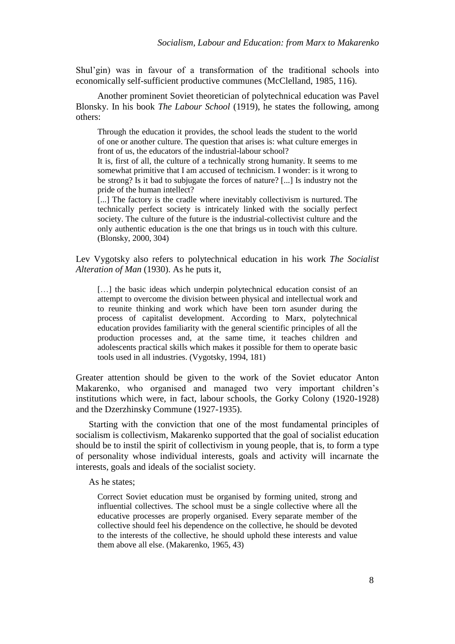Shul'gin) was in favour of a transformation of the traditional schools into economically self-sufficient productive communes (McClelland, 1985, 116).

Another prominent Soviet theoretician of polytechnical education was Pavel Blonsky. In his book *The Labour School* (1919), he states the following, among others:

Through the education it provides, the school leads the student to the world of one or another culture. The question that arises is: what culture emerges in front of us, the educators of the industrial-labour school?

It is, first of all, the culture of a technically strong humanity. It seems to me somewhat primitive that I am accused of technicism. I wonder: is it wrong to be strong? Is it bad to subjugate the forces of nature? [...] Is industry not the pride of the human intellect?

[...] The factory is the cradle where inevitably collectivism is nurtured. The technically perfect society is intricately linked with the socially perfect society. The culture of the future is the industrial-collectivist culture and the only authentic education is the one that brings us in touch with this culture. (Blonsky, 2000, 304)

Lev Vygotsky also refers to polytechnical education in his work *The Socialist Alteration of Man* (1930). As he puts it,

[...] the basic ideas which underpin polytechnical education consist of an attempt to overcome the division between physical and intellectual work and to reunite thinking and work which have been torn asunder during the process of capitalist development. According to Marx, polytechnical education provides familiarity with the general scientific principles of all the production processes and, at the same time, it teaches children and adolescents practical skills which makes it possible for them to operate basic tools used in all industries. (Vygotsky, 1994, 181)

Greater attention should be given to the work of the Soviet educator Anton Makarenko, who organised and managed two very important children's institutions which were, in fact, labour schools, the Gorky Colony (1920-1928) and the Dzerzhinsky Commune (1927-1935).

Starting with the conviction that one of the most fundamental principles of socialism is collectivism, Makarenko supported that the goal of socialist education should be to instil the spirit of collectivism in young people, that is, to form a type of personality whose individual interests, goals and activity will incarnate the interests, goals and ideals of the socialist society.

#### As he states;

Correct Soviet education must be organised by forming united, strong and influential collectives. The school must be a single collective where all the educative processes are properly organised. Every separate member of the collective should feel his dependence on the collective, he should be devoted to the interests of the collective, he should uphold these interests and value them above all else. (Makarenko, 1965, 43)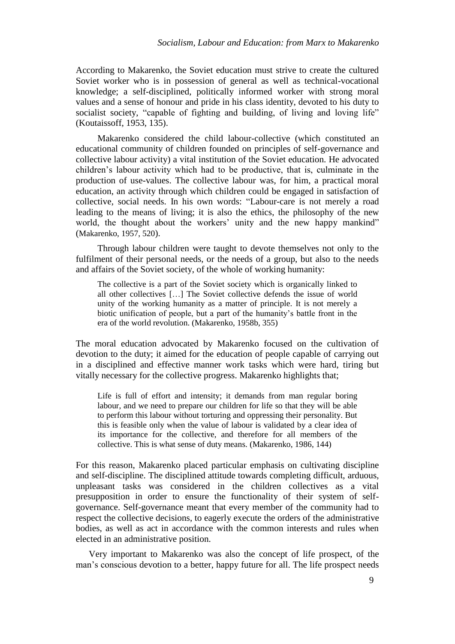According to Makarenko, the Soviet education must strive to create the cultured Soviet worker who is in possession of general as well as technical-vocational knowledge; a self-disciplined, politically informed worker with strong moral values and a sense of honour and pride in his class identity, devoted to his duty to socialist society, "capable of fighting and building, of living and loving life" (Koutaissoff, 1953, 135).

Makarenko considered the child labour-collective (which constituted an educational community of children founded on principles of self-governance and collective labour activity) a vital institution of the Soviet education. He advocated children's labour activity which had to be productive, that is, culminate in the production of use-values. The collective labour was, for him, a practical moral education, an activity through which children could be engaged in satisfaction of collective, social needs. In his own words: "Labour-care is not merely a road leading to the means of living; it is also the ethics, the philosophy of the new world, the thought about the workers' unity and the new happy mankind" (Makarenko, 1957, 520).

Through labour children were taught to devote themselves not only to the fulfilment of their personal needs, or the needs of a group, but also to the needs and affairs of the Soviet society, of the whole of working humanity:

The collective is a part of the Soviet society which is organically linked to all other collectives […] The Soviet collective defends the issue of world unity of the working humanity as a matter of principle. It is not merely a biotic unification of people, but a part of the humanity's battle front in the era of the world revolution. (Makarenko, 1958b, 355)

The moral education advocated by Makarenko focused on the cultivation of devotion to the duty; it aimed for the education of people capable of carrying out in a disciplined and effective manner work tasks which were hard, tiring but vitally necessary for the collective progress. Makarenko highlights that;

Life is full of effort and intensity; it demands from man regular boring labour, and we need to prepare our children for life so that they will be able to perform this labour without torturing and oppressing their personality. But this is feasible only when the value of labour is validated by a clear idea of its importance for the collective, and therefore for all members of the collective. This is what sense of duty means. (Makarenko, 1986, 144)

For this reason, Makarenko placed particular emphasis on cultivating discipline and self-discipline. The disciplined attitude towards completing difficult, arduous, unpleasant tasks was considered in the children collectives as a vital presupposition in order to ensure the functionality of their system of selfgovernance. Self-governance meant that every member of the community had to respect the collective decisions, to eagerly execute the orders of the administrative bodies, as well as act in accordance with the common interests and rules when elected in an administrative position.

Very important to Makarenko was also the concept of life prospect, of the man's conscious devotion to a better, happy future for all. The life prospect needs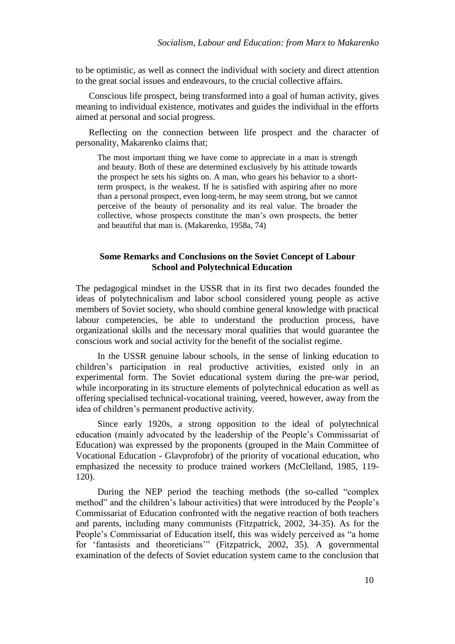to be optimistic, as well as connect the individual with society and direct attention to the great social issues and endeavours, to the crucial collective affairs.

Conscious life prospect, being transformed into a goal of human activity, gives meaning to individual existence, motivates and guides the individual in the efforts aimed at personal and social progress.

Reflecting on the connection between life prospect and the character of personality, Makarenko claims that;

The most important thing we have come to appreciate in a man is strength and beauty. Both of these are determined exclusively by his attitude towards the prospect he sets his sights on. A man, who gears his behavior to a shortterm prospect, is the weakest. If he is satisfied with aspiring after no more than a personal prospect, even long-term, he may seem strong, but we cannot perceive of the beauty of personality and its real value. The broader the collective, whose prospects constitute the man's own prospects, the better and beautiful that man is. (Makarenko, 1958a, 74)

# **Some Remarks and Conclusions on the Soviet Concept of Labour School and Polytechnical Education**

The pedagogical mindset in the USSR that in its first two decades founded the ideas of polytechnicalism and labor school considered young people as active members of Soviet society, who should combine general knowledge with practical labour competencies, be able to understand the production process, have organizational skills and the necessary moral qualities that would guarantee the conscious work and social activity for the benefit of the socialist regime.

In the USSR genuine labour schools, in the sense of linking education to children's participation in real productive activities, existed only in an experimental form. The Soviet educational system during the pre-war period, while incorporating in its structure elements of polytechnical education as well as offering specialised technical-vocational training, veered, however, away from the idea of children's permanent productive activity.

Since early 1920s, a strong opposition to the ideal of polytechnical education (mainly advocated by the leadership of the People's Commissariat of Education) was expressed by the proponents (grouped in the Main Committee of Vocational Education - Glavprofobr) of the priority of vocational education, who emphasized the necessity to produce trained workers (McClelland, 1985, 119- 120).

During the NEP period the teaching methods (the so-called "complex method" and the children's labour activities) that were introduced by the People's Commissariat of Education confronted with the negative reaction of both teachers and parents, including many communists (Fitzpatrick, 2002, 34-35). As for the People's Commissariat of Education itself, this was widely perceived as "a home for 'fantasists and theoreticians'" (Fitzpatrick, 2002, 35). A governmental examination of the defects of Soviet education system came to the conclusion that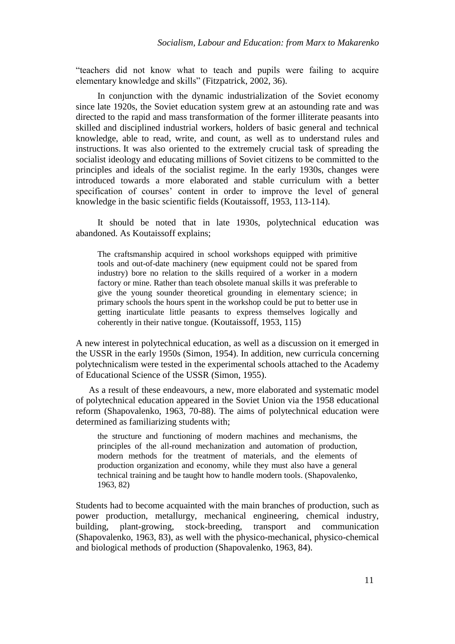"teachers did not know what to teach and pupils were failing to acquire elementary knowledge and skills" (Fitzpatrick, 2002, 36).

In conjunction with the dynamic industrialization of the Soviet economy since late 1920s, the Soviet education system grew at an astounding rate and was directed to the rapid and mass transformation of the former illiterate peasants into skilled and disciplined industrial workers, holders of basic general and technical knowledge, able to read, write, and count, as well as to understand rules and instructions. It was also oriented to the extremely crucial task of spreading the socialist ideology and educating millions of Soviet citizens to be committed to the principles and ideals of the socialist regime. In the early 1930s, changes were introduced towards a more elaborated and stable curriculum with a better specification of courses' content in order to improve the level of general knowledge in the basic scientific fields (Koutaissoff, 1953, 113-114).

It should be noted that in late 1930s, polytechnical education was abandoned. As Koutaissoff explains;

The craftsmanship acquired in school workshops equipped with primitive tools and out-of-date machinery (new equipment could not be spared from industry) bore no relation to the skills required of a worker in a modern factory or mine. Rather than teach obsolete manual skills it was preferable to give the young sounder theoretical grounding in elementary science; in primary schools the hours spent in the workshop could be put to better use in getting inarticulate little peasants to express themselves logically and coherently in their native tongue. (Koutaissoff, 1953, 115)

A new interest in polytechnical education, as well as a discussion on it emerged in the USSR in the early 1950s (Simon, 1954). In addition, new curricula concerning polytechnicalism were tested in the experimental schools attached to the Academy of Educational Science of the USSR (Simon, 1955).

As a result of these endeavours, a new, more elaborated and systematic model of polytechnical education appeared in the Soviet Union via the 1958 educational reform (Shapovalenko, 1963, 70-88). The aims of polytechnical education were determined as familiarizing students with;

the structure and functioning of modern machines and mechanisms, the principles of the all-round mechanization and automation of production, modern methods for the treatment of materials, and the elements of production organization and economy, while they must also have a general technical training and be taught how to handle modern tools. (Shapovalenko, 1963, 82)

Students had to become acquainted with the main branches of production, such as power production, metallurgy, mechanical engineering, chemical industry, building, plant-growing, stock-breeding, transport and communication (Shapovalenko, 1963, 83), as well with the physico-mechanical, physico-chemical and biological methods of production (Shapovalenko, 1963, 84).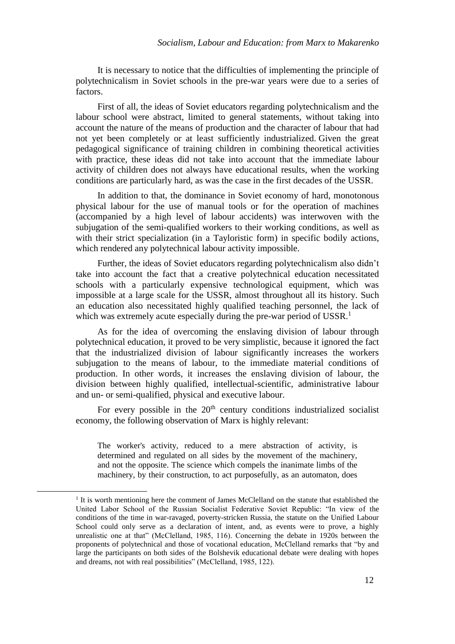It is necessary to notice that the difficulties of implementing the principle of polytechnicalism in Soviet schools in the pre-war years were due to a series of factors.

First of all, the ideas of Soviet educators regarding polytechnicalism and the labour school were abstract, limited to general statements, without taking into account the nature of the means of production and the character of labour that had not yet been completely or at least sufficiently industrialized. Given the great pedagogical significance of training children in combining theoretical activities with practice, these ideas did not take into account that the immediate labour activity of children does not always have educational results, when the working conditions are particularly hard, as was the case in the first decades of the USSR.

In addition to that, the dominance in Soviet economy of hard, monotonous physical labour for the use of manual tools or for the operation of machines (accompanied by a high level of labour accidents) was interwoven with the subjugation of the semi-qualified workers to their working conditions, as well as with their strict specialization (in a Tayloristic form) in specific bodily actions, which rendered any polytechnical labour activity impossible.

Further, the ideas of Soviet educators regarding polytechnicalism also didn't take into account the fact that a creative polytechnical education necessitated schools with a particularly expensive technological equipment, which was impossible at a large scale for the USSR, almost throughout all its history. Such an education also necessitated highly qualified teaching personnel, the lack of which was extremely acute especially during the pre-war period of USSR.<sup>1</sup>

As for the idea of overcoming the enslaving division of labour through polytechnical education, it proved to be very simplistic, because it ignored the fact that the industrialized division of labour significantly increases the workers subjugation to the means of labour, to the immediate material conditions of production. In other words, it increases the enslaving division of labour, the division between highly qualified, intellectual-scientific, administrative labour and un- or semi-qualified, physical and executive labour.

For every possible in the  $20<sup>th</sup>$  century conditions industrialized socialist economy, the following observation of Marx is highly relevant:

The worker's activity, reduced to a mere abstraction of activity, is determined and regulated on all sides by the movement of the machinery, and not the opposite. The science which compels the inanimate limbs of the machinery, by their construction, to act purposefully, as an automaton, does

 $\overline{a}$ 

<sup>&</sup>lt;sup>1</sup> It is worth mentioning here the comment of James McClelland on the statute that established the United Labor School of the Russian Socialist Federative Soviet Republic: "In view of the conditions of the time in war-ravaged, poverty-stricken Russia, the statute on the Unified Labour School could only serve as a declaration of intent, and, as events were to prove, a highly unrealistic one at that" (McClelland, 1985, 116). Concerning the debate in 1920s between the proponents of polytechnical and those of vocational education, McClelland remarks that "by and large the participants on both sides of the Bolshevik educational debate were dealing with hopes and dreams, not with real possibilities" (McClelland, 1985, 122).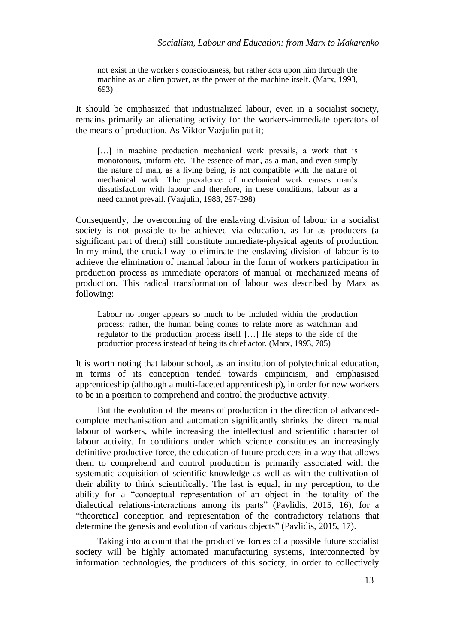not exist in the worker's consciousness, but rather acts upon him through the machine as an alien power, as the power of the machine itself. (Marx, 1993, 693)

It should be emphasized that industrialized labour, even in a socialist society, remains primarily an alienating activity for the workers-immediate operators of the means of production. As Viktor Vazjulin put it;

[...] in machine production mechanical work prevails, a work that is monotonous, uniform etc. The essence of man, as a man, and even simply the nature of man, as a living being, is not compatible with the nature of mechanical work. The prevalence of mechanical work causes man's dissatisfaction with labour and therefore, in these conditions, labour as a need cannot prevail. (Vazjulin, 1988, 297-298)

Consequently, the overcoming of the enslaving division of labour in a socialist society is not possible to be achieved via education, as far as producers (a significant part of them) still constitute immediate-physical agents of production. In my mind, the crucial way to eliminate the enslaving division of labour is to achieve the elimination of manual labour in the form of workers participation in production process as immediate operators of manual or mechanized means of production. This radical transformation of labour was described by Marx as following:

Labour no longer appears so much to be included within the production process; rather, the human being comes to relate more as watchman and regulator to the production process itself […] He steps to the side of the production process instead of being its chief actor. (Marx, 1993, 705)

It is worth noting that labour school, as an institution of polytechnical education, in terms of its conception tended towards empiricism, and emphasised apprenticeship (although a multi-faceted apprenticeship), in order for new workers to be in a position to comprehend and control the productive activity.

But the evolution of the means of production in the direction of advancedcomplete mechanisation and automation significantly shrinks the direct manual labour of workers, while increasing the intellectual and scientific character of labour activity. In conditions under which science constitutes an increasingly definitive productive force, the education of future producers in a way that allows them to comprehend and control production is primarily associated with the systematic acquisition of scientific knowledge as well as with the cultivation of their ability to think scientifically. The last is equal, in my perception, to the ability for a "conceptual representation of an object in the totality of the dialectical relations-interactions among its parts" (Pavlidis, 2015, 16), for a "theoretical conception and representation of the contradictory relations that determine the genesis and evolution of various objects" (Pavlidis, 2015, 17).

Taking into account that the productive forces of a possible future socialist society will be highly automated manufacturing systems, interconnected by information technologies, the producers of this society, in order to collectively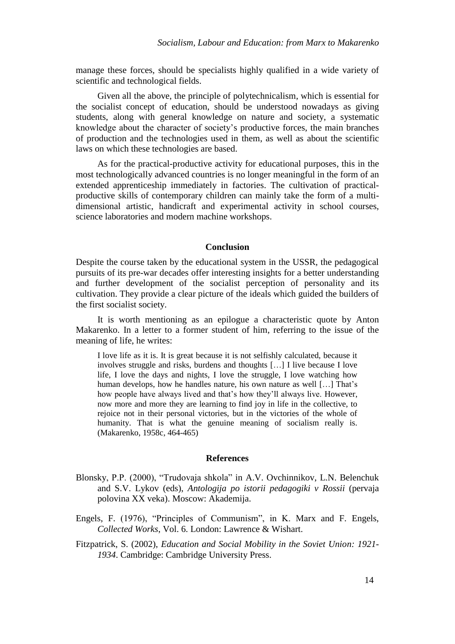manage these forces, should be specialists highly qualified in a wide variety of scientific and technological fields.

Given all the above, the principle of polytechnicalism, which is essential for the socialist concept of education, should be understood nowadays as giving students, along with general knowledge on nature and society, a systematic knowledge about the character of society's productive forces, the main branches of production and the technologies used in them, as well as about the scientific laws on which these technologies are based.

As for the practical-productive activity for educational purposes, this in the most technologically advanced countries is no longer meaningful in the form of an extended apprenticeship immediately in factories. The cultivation of practicalproductive skills of contemporary children can mainly take the form of a multidimensional artistic, handicraft and experimental activity in school courses, science laboratories and modern machine workshops.

#### **Conclusion**

Despite the course taken by the educational system in the USSR, the pedagogical pursuits of its pre-war decades offer interesting insights for a better understanding and further development of the socialist perception of personality and its cultivation. They provide a clear picture of the ideals which guided the builders of the first socialist society.

It is worth mentioning as an epilogue a characteristic quote by Anton Makarenko. In a letter to a former student of him, referring to the issue of the meaning of life, he writes:

I love life as it is. It is great because it is not selfishly calculated, because it involves struggle and risks, burdens and thoughts […] I live because I love life, I love the days and nights, I love the struggle, I love watching how human develops, how he handles nature, his own nature as well […] That's how people have always lived and that's how they'll always live. However, now more and more they are learning to find joy in life in the collective, to rejoice not in their personal victories, but in the victories of the whole of humanity. That is what the genuine meaning of socialism really is. (Makarenko, 1958c, 464-465)

#### **References**

- Blonsky, P.P. (2000), "Trudovaja shkola" in A.V. Ovchinnikov, L.N. Belenchuk and S.V. Lykov (eds), *Antologija po istorii pedagogiki v Rossii* (pervaja polovina XX veka). Moscow: Akademija.
- Engels, F. (1976), "Principles of Communism", in K. Marx and F. Engels, *Collected Works*, Vol. 6. London: Lawrence & Wishart.
- Fitzpatrick, S. (2002), *Education and Social Mobility in the Soviet Union: 1921- 1934*. Cambridge: Cambridge University Press.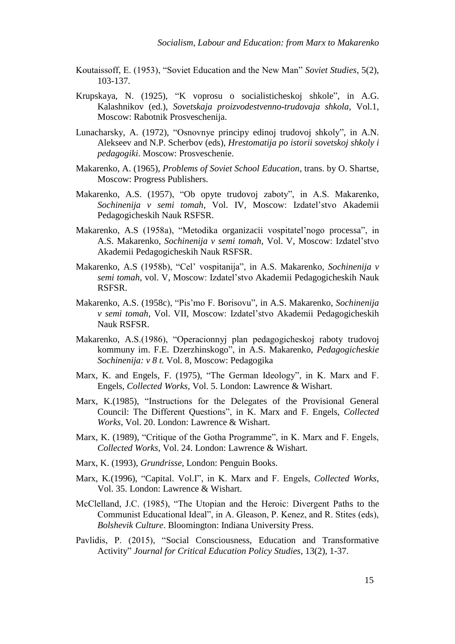- Koutaissoff, E. (1953), "Soviet Education and the New Man" *Soviet Studies*, 5(2), 103-137.
- Krupskaya, N. (1925), "K voprosu o socialisticheskoj shkole", in A.G. Kalashnikov (ed.), *Sovetskaja proizvodestvenno-trudovaja shkola*, Vol.1, Moscow: Rabotnik Prosveschenija.
- Lunacharsky, A. (1972), "Osnovnye principy edinoj trudovoj shkoly", in A.N. Alekseev and N.P. Scherbov (eds), *Hrestomatija po istorii sovetskoj shkoly i pedagogiki*. Moscow: Prosveschenie.
- Makarenko, A. (1965), *Problems of Soviet School Education*, trans. by O. Shartse, Moscow: Progress Publishers.
- Makarenko, A.S. (1957), "Ob opyte trudovoj zaboty", in A.S. Makarenko, *Sochinenija v semi tomah*, Vol. IV, Moscow: Izdatel'stvo Akademii Pedagogicheskih Nauk RSFSR.
- Makarenko, A.S (1958a), "Metodika organizacii vospitatel'nogo processa", in A.S. Makarenko, *Sochinenija v semi tomah*, Vol. V, Moscow: Izdatel'stvo Akademii Pedagogicheskih Nauk RSFSR.
- Makarenko, A.S (1958b), "Cel' vospitanija", in A.S. Makarenko, *Sochinenija v semi tomah*, vol. V, Moscow: Izdatel'stvo Akademii Pedagogicheskih Nauk RSFSR.
- Makarenko, A.S. (1958c), "Pis'mo F. Borisovu", in A.S. Makarenko, *Sochinenija v semi tomah*, Vol. VII, Moscow: Izdatel'stvo Akademii Pedagogicheskih Nauk RSFSR.
- Makarenko, A.S.(1986), "Operacionnyj plan pedagogicheskoj raboty trudovoj kommuny im. F.E. Dzerzhinskogo", in A.S. Makarenko, *Pedagogicheskie Sochinenija: v 8 t.* Vol. 8, Moscow: Pedagogika
- Marx, K. and Engels, F. (1975), "The German Ideology", in K. Marx and F. Engels, *Collected Works*, Vol. 5. London: Lawrence & Wishart.
- Marx, K.(1985), "Instructions for the Delegates of the Provisional General Council: The Different Questions", in K. Marx and F. Engels, *Collected Works*, Vol. 20. London: Lawrence & Wishart.
- Marx, K. (1989), "Critique of the Gotha Programme", in K. Marx and F. Engels, *Collected Works*, Vol. 24. London: Lawrence & Wishart.
- Marx, K. (1993), *Grundrisse*, London: Penguin Books.
- Marx, K.(1996), "Capital. Vol.I", in K. Marx and F. Engels, *Collected Works*, Vol. 35. London: Lawrence & Wishart.
- McClelland, J.C. (1985), "The Utopian and the Heroic: Divergent Paths to the Communist Educational Ideal", in A. Gleason, P. Kenez, and R. Stites (eds), *Bolshevik Culture*. Bloomington: Indiana University Press.
- Pavlidis, P. (2015), "Social Consciousness, Education and Transformative Activity" *Journal for Critical Education Policy Studies*, 13(2), 1-37.